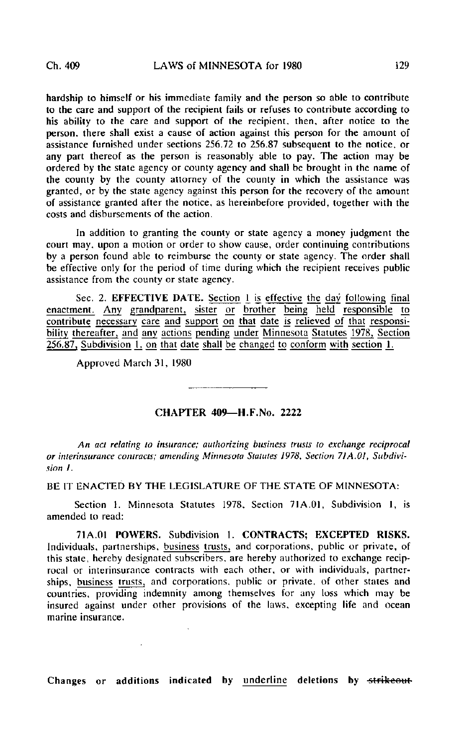hardship to himself or his immediate family and the person so able to contribute to the care and support of the recipient fails or refuses to contribute according to his ability to the care and support of the recipient, then, after notice to the person, there shall exist a cause of action against this person for the amount of assistance furnished under sections 256.72 to 256.87 subsequent to the notice, or any part thereof as the person is reasonably able to pay. The action may be ordered by the state agency or county agency and shall be brought in the name of the county by the county attorney of the county in which the assistance was granted, or by the state agency against this person for the recovery of the amount of assistance granted after the notice, as hereinbefore provided, together with the costs and disbursements of the action.

In addition to granting the county or state agency a money judgment the court may. upon a motion or order to show cause, order continuing contributions by a person found able to reimburse the county or state agency. The order shall be effective only for the period of time during which the recipient receives public assistance from the county or state agency.

Sec. 2. EFFECTIVE DATE. Section 1 is effective the day following final enactment. Any grandparent, sister or brother being held responsible to contribute necessary care and support on that date is relieved of that responsibility thereafter, and any actions pending under Minnesota Statutes 1978, Section  $256.87$ , Subdivision 1, on that date shall be changed to conform with section 1.

Approved March 31, 1980

 $\mathcal{L}$ 

## CHAPTER 409—H.F.No. 2222

An act relating to insurance; authorizing business trusts to exchange reciprocal or interinsurance contracts; amending Minnesota Statutes 1978, Section 71A.OI, Subdivision I.

BE IT ENACTED BY THE LEGISLATURE OF THE STATE OF MINNESOTA:

Section 1. Minnesota Statutes 1978. Section 71A.01, Subdivision 1, is amended to read:

71A.01 POWERS. Subdivision 1. CONTRACTS; EXCEPTED RISKS. Individuals, partnerships, business trusts, and corporations, public or private, of this state, hereby designated subscribers, are hereby authorized to exchange reciprocal or interinsurance contracts with each other, or with individuals, partnerships, business trusts, and corporations, public or private, of other states and countries, providing indemnity among themselves for any loss which may be insured against under other provisions of the laws, excepting life and ocean marine insurance.

Changes or additions indicated by underline deletions by strikeout